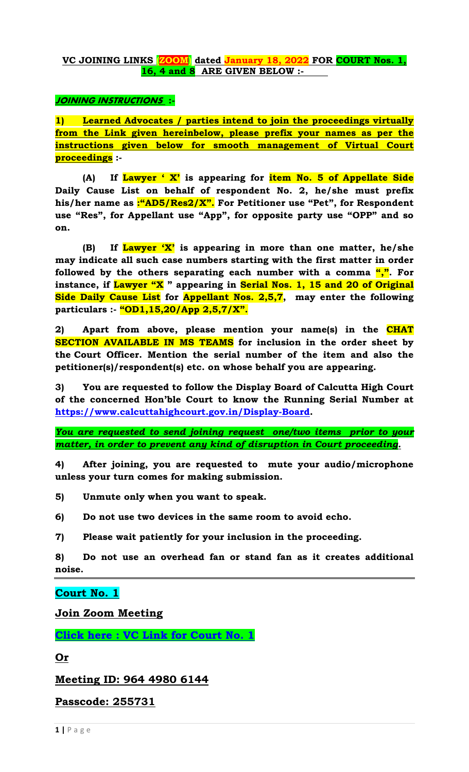## **VC JOINING LINKS (ZOOM) dated January 18, 2022 FOR COURT Nos. 1, 16, 4 and 8 ARE GIVEN BELOW :-**

## **JOINING INSTRUCTIONS :-**

**1) Learned Advocates / parties intend to join the proceedings virtually from the Link given hereinbelow, please prefix your names as per the instructions given below for smooth management of Virtual Court proceedings :-**

**(A) If Lawyer " X" is appearing for item No. 5 of Appellate Side Daily Cause List on behalf of respondent No. 2, he/she must prefix his/her name as :"AD5/Res2/X". For Petitioner use "Pet", for Respondent use "Res", for Appellant use "App", for opposite party use "OPP" and so on.**

**(B) If Lawyer "X" is appearing in more than one matter, he/she may indicate all such case numbers starting with the first matter in order followed by the others separating each number with a comma ",". For instance, if Lawyer "X " appearing in Serial Nos. 1, 15 and 20 of Original Side Daily Cause List for Appellant Nos. 2,5,7, may enter the following particulars :- "OD1,15,20/App 2,5,7/X".**

**2) Apart from above, please mention your name(s) in the CHAT SECTION AVAILABLE IN MS TEAMS for inclusion in the order sheet by the Court Officer. Mention the serial number of the item and also the petitioner(s)/respondent(s) etc. on whose behalf you are appearing.**

**3) You are requested to follow the Display Board of Calcutta High Court of the concerned Hon"ble Court to know the Running Serial Number at [https://www.calcuttahighcourt.gov.in/Display-Board.](https://www.calcuttahighcourt.gov.in/Display-Board)**

*You are requested to send joining request one/two items prior to your matter, in order to prevent any kind of disruption in Court proceeding.*

**4) After joining, you are requested to mute your audio/microphone unless your turn comes for making submission.** 

**5) Unmute only when you want to speak.** 

**6) Do not use two devices in the same room to avoid echo.** 

**7) Please wait patiently for your inclusion in the proceeding.** 

**8) Do not use an overhead fan or stand fan as it creates additional noise.** 

## **Court No. 1**

**Join Zoom Meeting** 

**[Click here : VC Link for Court No. 1](https://zoom.us/j/96449806144?pwd=WC9aTG42RXl4YW5haXNON3J2YlpjZz09)** 

**Or** 

**Meeting ID: 964 4980 6144** 

**Passcode: 255731**